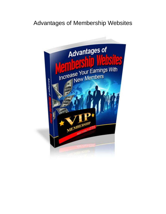# Advantages of Membership Websites

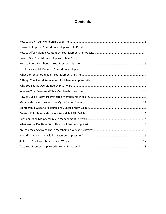## **Contents**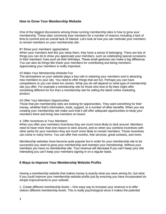## <span id="page-2-0"></span>**How to Grow Your Membership Website**

One of the biggest discussions among those running membership sites is how to grow your membership. These sites commonly lose members for a number of reasons including a lack of time to commit and an overall lack of interest. Let's look at how you can motivate your members to remain members on your membership site.

#### #1 Show your members' appreciation

When your members feel like you value them, they have a sense of belonging. There are lots of things you can do to show you appreciate your members, such as celebrating special occasions in their members' lives such as their birthdays. These small gestures can make a big difference. You can also do things like thank your members for contributing and being members. Appreciating your members is really important.

#### #2 Make Your Membership Website Fun

The atmosphere on your website plays a key role in retaining your members and in attracting new members to your site. You need to offer things that are fun. Perhaps you can have competitions or you can share fun stories. What you do will depend on what type of membership site you offer. For example a membership site for those who love to fly kites might offer something different for fun than a membership site for selling the latest online marketing product.

#### #3 Offer Your Members Opportunities

Those that join membership sites are looking for opportunities. They want something for their money, whether that's information, tools, support, or a number of other benefits. When you are creating your membership site make sure that it will offer adequate opportunities to keep your members there and bring new members on board.

#### 4. Offer Incentives to Your Members

When you offer your members incentives they are much more likely to stick around. Members need to have more than one reason to stick around, and so when you combine incentives with other perks for your members they are much more likely to remain members. Those incentives can come in many forms. You can offer free months, free services, great contests, and more.

Membership websites have become quite popular but in order for your membership site to be successful you need to grow your membership and maintain your membership. Without your members you have no membership site. Your revenue will decrease if you can't keep your site interesting you can't keep your members signing in on a regular basis.

## <span id="page-2-1"></span>**6 Ways to Improve Your Membership Website Profits**

Having a membership website that makes money is exactly what you were aiming for, but what if you could improve your membership website profits just by ensuring you have incorporated six simple improvements to your website.

1. Create different membership levels – One easy way to increase your revenue is to offer visitors different membership levels. This is really psychological since it makes the potential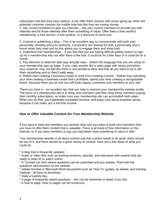subscribers feel like they have options. If you offer there choices with prices going up, when the potential customer chooses the middle they feel like they are saving money.

2. Ask current members to give you referrals – Ask your current members to provide you with referrals and for those referrals offer them something of value. Offer them a free month's membership, a free service, a free product, or a discount of some sort.

3. Commit to publishing a blog – This is an excellent way to communicate with both your personality showing and your authority. Consumers are looking for both a personality and a brand when they read and so this allows you to engage them and show both.

4. Implement trial memberships – If you find that you are having difficult getting visitors to sign up for a membership why not offer them a free trial. It could be for a few days or it could be for a month.

5. Pay attention to what the add copy actually says – Watch the language that you are using on your membership sign-up page. If your copy sounds like a sales page with heavy promotion, your customer may not feel like there is any benefit to them and that all you want to do is sell them something and so they'll walk away.

6. Rather than creating a business model to work from creating a brand – Rather than spending your time creating a business model that's profitable, spend your time creating a recognizable brand, because when you do this you will build regular customers and members to your site.

There you have it – six excellent tips that can help to improve your membership website profits. The focus of a membership site is to bring new members and then keep those members paying their monthly subscription, so make sure your membership site can accomplish both steps. When you do that, you'll generate increased revenue, and enjoy your savvy business sense, because it can make you a full time income.

## <span id="page-3-0"></span>**How to Offer Valuable Content On Your Membership Website**

If you want to keep the members you already have and you want to build new members then you have to offer them content that is valuable. There is all kinds of free information on the internet, so if you want members to pay you had better have something of value to offer.

Your membership website is all about content and that content needs to be good, there should be lots of it, and there should be a good variety of content. Here are a few ideas of what you could do.

\* A blog that is frequently updated.

\* Audio or video files such as training sessions, tutorials, and interviews with experts that are ready to listen to or watch online.

\* A 'Contact Us' form where questions can be submitted and you answer. Post both the questions and answers on the website.

\* Adobe Acrobat or Microsoft Word documents such as 'How To' guides, tip sheets, and training material - all there to download.

\* Daily or weekly tips.

\* A page of frequently asked questions – this can be extremely in-depth if you like.

\* A how to page. How to pages can be numerous.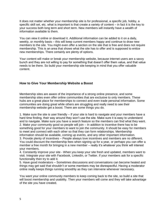It does not matter whether your membership site is for professional, a specific job, hobby, a specific skill set, etc. what is important is that create a variety of content – in fact it is the key to your success both long term and short term. New members will instantly have a wealth of information available to them.

You can view it online or download it. Additional information can be added to it on a daily, weekly, or monthly basis – this will keep current members happy and continue to draw new members to the site. You might even offer a section on the site that is free and does not require membership. This is an area that shows what the site has to offer and is supposed to entice new memberships. There certainly are plenty of options.

Your content will make or break your membership website, because internet users are a savvy bunch and they are not willing to pay for something that doesn't offer them value, and that value needs to be there. So build your membership site keeping in mind that you offer valuable content.

## <span id="page-4-0"></span>**How to Give Your Membership Website a Boost**

Membership sites are aware of the importance of a strong online presence, and some membership sites even offer online communities that are exclusive to only members. These hubs are a great place for memberships to connect and even trade personal information. Some communities are doing great while others are struggling and really need to see their membership website get a boost. There are some things you do.

1. Make sure the site is user friendly – If your site is hard to navigate and your members have a hard time finding, their way around they won't use the site. Make sure it is easy to understand and to navigate. Make sure you have a search feature so the members can find what they want. 2. Make your community good so people will join – In addition to incentive there has to be something good for your members to want to join the community. It should be easy for members to meet and connect with each other so that they can form relationships. Membership information should be available, coming up events, and any other important information. 3. Provide plenty of incentives – People always love incentives and members are no different. You could discount the membership fees when signing up for a year, or perhaps you can offer a member a free month for bringing in a new member – really it's whatever you think will interest

your members. 4. Constantly improve your site - When you keep your site fresh and updated, members want to visit. Integrate your site with Facebook, LinkedIn, or Twitter. If your members ask for a specific functionality then try to add it.

5. Have good moderators – Sometimes discussions and conversations can become heated and things may get said that shouldn't or some members may be disrespectful. Having a moderator online really keeps things running smoothly as they can intervene whenever necessary.

You want your online community members to keep coming back to the site, so build a site that will boost membership and usability. Then your members will come and they will take advantage of the site you have created.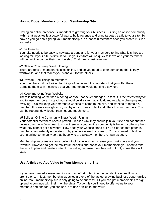## <span id="page-5-0"></span>**How to Boost Members on Your Membership Site**

Having an online presence is important to growing your business. Building an online community within that websites is a powerful way to build revenue and bring targeted traffic to your site. So how do you go about giving your membership site a boost in members once you create it? Glad you asked.

#### #1 Be Friendly

Your site needs to be easy to navigate around and for your members to find what it is they are looking for. If your site is difficult, to use your visitors will be quick to leave and your members will be quick to cancel their membership. That means lost revenue.

#### #2 Offer a Community Worth Joining

There are tons of membership sites online, and so you need to offer something that is truly worthwhile, and that makes you stand out for the others.

#### #3 Provide Free Things to Members

Your members will be looking for things of value and it is important that you offer them. Combine them with incentives that your members would not find elsewhere.

#### #4 Keep Improving Your Website

There is nothing worse than a boring website that never changes. In fact, it is the fastest way for you to lose members. Instead, you should build a site that is fluid, and regularly changing and evolving. This will keep your members wanting to come to the site, and wanting to remain a member. It is easy enough to do, just by adding new content and offers to your members. This can be reports, downloads, training, and much more.

#### #5 Build an Online Community That's Worth Joining

Your potential members need a powerful reason why they should join your site and not another online community. You need to show them why your online community is better by offering them what they cannot get elsewhere. How does your website stand out? Be clear so that potential members can instantly understand why your site is worth choosing. You also need to build a strong online community so that those who are already members remain as such.

Membership websites are an excellent tool if you wish to increase your customers and your revenue. However, to get the maximum benefits and boost your membership you need to take the time to plan and create a site of true value, because then they will not only come they will stay.

## <span id="page-5-1"></span>**Use Articles to Add Value to Your Membership Site**

If you have created a membership site in an effort to tap into the constant revenue flow, you aren't alone. In fact, membership websites are one of the fastest growing business opportunities online. Your membership site is only going to be successful if you can get memberships to sign up and to continue with their memberships. To do this you'll need to offer value to your members and one tool you can use is to use articles to add value.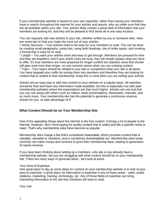If your membership website is based on your own expertise, rather than having your members have to search throughout the internet for your articles and reports, why not make sure that they are all available within your site. Your articles likely contain a great deal of information that your members are looking for, and they will be pleased to find these all in one easy location.

You can regularly add new articles to your site, whether written by you or someone else. Here are some tips to help you make the most out of your articles.

\* Article Structure – Your articles need to be easy for your members to read. This can be done by creating small paragraphs, using lists, using bold headings, lots of white space, and creating a format that is easy for to read.

\* Length – You want your articles short and easy to get through. Members are pressed for time and they are impatient, and if your article looks too long, they will simple bypass what you have to offer. It's true members are more prepared for longer content but statistics show that shorter still gets read more than longer, so use common sense when you are creating content.

\* Topic – Your topics should be related to your site or compliment what your site is all about. You have targeted your traffic by turning them into members and therefore they are looking for content that is related to that membership. Keep this in mind when you are writing your articles.

Articles are an easy way to add new content to your website on a regular basis. All websites should be fluid and have new information made available, but this is especially true with paid membership websites where the expectations are that much higher. Articles are one tool that you can use along with others such as videos, audio presentations, downloads, manuals, and so much more. Your membership site has the potential to generate a continuous revenue stream for you, so take advantage of it!

## <span id="page-6-0"></span>**What Content Should be on Your Membership Site**

One of the appealing things about the internet is the free content. It brings a lot of people to the internet. However, don't mind paying for quality content that is useful and fills a specific niche or need. That's why membership sites have become so popular.

Membership sites charge a fee that's considered reasonable, which provides content that is valuable, viewable to members, and is sometimes downloadable too. Membership sites setup correctly can make money and continue to grow their membership base, leading to generation of repeat revenue.

If you have been thinking about setting up a members, only site or you already have a membership website, but you are struggling with what content should be on your membership site. There are many ways to generate ideas - let's look at some.

#### Your Area of Expertise

One great place to dig up some ideas for content on your membership website is to look at your area of expertise. A great place for information is expertise in any of these areas - sales, public relations, marketing, training, technology, etc. Any of those fields of expertise can bring interesting information to the site that members will want to read.

Your Job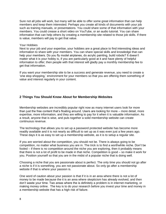Sure not all jobs will work, but many will be able to offer some great information that can help members and keep them interested. Perhaps you create all kinds of documents with your job such as training manuals, or presentations. You could share some of that information with your members. You could crease a short video on YouTube, or an audio tutorial. You can share information that can help others by creating a membership site related to those job skills. If there is value, members will pay to get that value.

#### Your Hobbies

Next to your job and your expertise, your hobbies are a great place to find interesting ideas and information to share with your members. You can share special skills and knowledge that can help your members. Do you fly model airplanes, do acrylic painting, build robots? It doesn't matter what it is your hobby is, if you are particularly good at it and have plenty of helpful information to offer; then people with that interest will gladly pay a monthly membership fee to get that information.

If you want your membership site to be a success and generate revenue, you need to create a 'one stop shopping,' environment for your members so that you are offering them something of value and interest regularly in your content.

## <span id="page-7-0"></span>**2 Things You Should Know About for Membership Websites**

Membership websites are incredibly popular right now as many internet users look for more than just the free content that's floating around. Users are looking for more – more detail, more expertise, more information, and they are willing to pay for it when it is valuable information. As a result, anyone that is wise, and puts together a solid membership website can create continuous revenue.

The technology that allows you to set up a password protected website has become more readily available and it is not nearly as difficult to set up as it was even just a few years ago. These days it is as easy to set up a membership website, as it is to setup a regular site.

If you are worried about the competition, you should not be. There is always going to be competition, no matter what business you are in. The trick is to find a worthwhile niche. Don't be fooled – if there is no competition around the niche you are exploring, then it probably means that there is not a lot of profit to be made in that niche. Competition is good – so make it work for you. Position yourself so that you are in the midst of a popular niche that is doing well.

Choosing a niche that you are passionate about is perfect. The only time you should not go after a niche is if it is something, you are not passionate about. So only go after a membership website if that is where your passion is.

One word of caution about your passion is that if it is in an area where there is not a lot of money to be made because the it is an area where skepticism has already evolved, and then don't waste your time. Two areas where the is definitely a problem is in internet marketing, or making money online. The key is to do your research before you invest your time and money in a membership website that has a high risk of failure.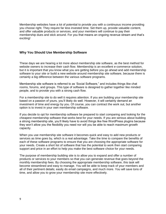Membership websites have a lot of potential to provide you with a continuous income providing you choose right. They require far less invested time. Set them up, provide valuable content, and offer valuable products or services, and your members will continue to pay their membership dues and stick around. For you that means an ongoing revenue stream and that's exciting!

## <span id="page-8-0"></span>**Why You Should Use Membership Software**

These days we are hearing a lot more about membership site software, as the best method for website owners to increase their cash flow. Membership is an excellent e-commerce solution, but it is important that you know what you are getting before you go ahead and add membership software to your site or build a new website around membership site software, because there is certainly a big difference between the various software programs.

Membership site software is referred to as 'Social Software," and includes things like chat rooms, forums, and groups. This type of software is designed to gather together like minded people, and to provide you with a strong cash flow.

For a membership site to do well it requires attention. If you are building your membership site based on a passion of yours, you'll likely do well. However, it will certainly demand an investment of time and energy by you. Of course, you can contract the work out, but another option is to invest in your own membership software.

If you decide to opt for membership software be prepared to start comparing and looking for the cheapest membership software that works best for your needs. If you are serious about building a strong membership site, you'll likely have to avoid things like free WordPress plugins because they won't allow you the flexibility you need nor will you be able to reach maximum growth capacity.

When you use membership site software it becomes quick and easy to add new products or services as time goes by, which is a real advantage. Take the time to compare the benefits of each of these software programs to ensure that you are choosing the appropriate software for your needs. Create a short list of software that has the potential to work then start comparing support and price in an effort to help you make the best software choice for your needs.

The purpose of membership building site is to allow you to expand and offer a number of products or services to your members so that you can generate revenue that goes beyond the monthly membership fees. By choosing the appropriate membership software, this task will become streamlined and easy to manage. You will be able to keep track of your members and all of their pertinent details; easily do email campaigns, and much more. You will save tons of time, and allow you to grow your membership site more effectively.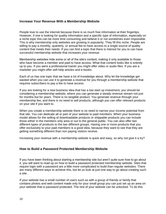## <span id="page-9-0"></span>**Increase Your Revenue With a Membership Website**

People love to use the internet because there is so much free information at their fingertips. However, if one is looking for quality information and a specific type of information, especially on a niche topic this can be more time consuming and believe it or not sometimes even impossible. This is why membership only websites are growing in popularity. They fill this niche. People are willing to pay a monthly, quarterly, or annual fee to have access to a single source of quality content that meets their needs. If you can find a topic that there is interest for you to can have successful membership website that increases your revenue.

Membership websites hide some or all of the site's content, making it only available to those who have become a member and paid to have access. What that content looks like is entirely up to you. If you were a professional trainer you might offer video or audio files. If you are a marketer you might offer self-help articles and e-books.

Each of us has one topic that we have a lot of knowledge about. Why let the knowledge get wasted when you can use it to generate a revenue for you through a membership website that requires subscribers to pay a fee to have access.

If you are looking for a new business idea that has a low start up investment, you should be considering a membership website, where you can generate a steady revenue stream not just for months but for years. There is no tangible product, You generate revenue through your membership fee, and there is no need to sell products, although you can offer relevant products on your site if you want to.

When you create a membership website there is no need to narrow your income potential from that site. You can dedicate all or part of your website to paid members. When your business model allows for the selling of downloadable products or shippable products you can include those either in the members only area or out to the general public. You can also offer two different types of products to the two different groups. Having one or more products that you offer exclusively to your paid members is a good idea, because they want to see that they are getting something different than non paying visitors receive.

Increasing your revenue with a membership website is quick and easy, so why not give it a try?

## <span id="page-9-1"></span>**How to Build a Password Protected Membership Website**

If you have been thinking about starting a membership site but aren't quite sure how to go about it, you will want to read up on how to build a password protected membership website. Sites that require login with a password are a little more complicated to build than regular websites. There are many different ways to achieve this, but let us look at just one way to go about creating such a site.

If your website has a small number of users such as with a group of friends or family that contains photos and web content made only for your small group you can just set up an area on your website that is password protected. The rest of your website can be unlocked. To do this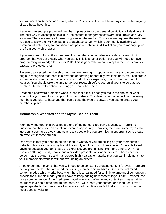you will need an Apache web serve, which isn't too difficult to find these days, since the majority of web hosts have this.

If you wish to set up a protected membership website for the general public it is a little different. The best way to accomplish this is to use content management software also known as CMS software. There are many of these programs on the market. This software requires the web host you use to allow the PHP scripts and a database server, which is commonly available with commercial web hosts, so that should not pose a problem. CMS will allow you to manage your site from your web browser.

If you are looking for a little more flexibility than that you can always create your own PHP program that you get exactly what you want. This is another option but you will need to have programming knowledge for Perl or PHP. This is generally overkill except in the most complex password protected sites.

Password protected membership websites are growing in popularity as more and more people begin to recognize that there is a revenue generating opportunity available here. You can create a membership site focused on a hobby, a product, your expertise, or any other number of focuses. You should take the time to do your research before you build your site so that you create a site that will continue to bring you new subscribers.

Creating a password protected website isn't that difficult once you make the choice of what exactly it is you need to accomplish this that website. The determining factor will be how many members you plan to have and that can dictate the type of software you use to create your membership site.

## <span id="page-10-0"></span>**Membership Websites and the Myths Behind Them**

Right now, membership websites are one of the hottest sites being launched. There's no question that they offer an excellent revenue opportunity. However, there are some myths that just don't seem to go away, and as a result people like you are missing opportunities to create an excellent income stream.

One myth is that you need to be an expert in whatever you are selling on your membership website. This is a common myth and it is simply not true. If you think you won't be able to sell anything because you don't have the expertise, you are thinking like many others. Why not consider offering DVDs, books, audio or video presentations,webinars, etc. where another person has the expertise and has created highly valuable material that you can implement into your membership website without ever being an expert.

Another common myth is that you will need to be constantly creating content forever. There are actually two models that are used for building membership websites. One is the unlimited content model, which works best when there is a real need for an infinite amount of content on a specific topic. In this model you will have to keep adding new content to your site. However, the more common model if the fixed term model where you offer limited content such as a training course with a begin date and an end date. You will create your content and then use it over again repeatedly. You may have to d some small modifications but that's it. This is by far the most popular website.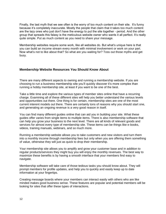Finally, the last myth that we see often is the worry of too much content on their site. It's funny because it's completely inaccurate. Mostly the people that claim that it takes too much content are the lazy ones who just don't have the energy to put the site together - period. And the other group that spreads this falasy is the meticulous website owner who wants it all perfect. It's really quite simple. Put as much content as you need to share your message.

Membership websites require some work, like all websites do. But what's unique here is that you can build an income stream every month with minimal involvement or work on your part. Now what's not to like about that? So what are you waiting for? Toss out those myths and get busy.

## <span id="page-11-0"></span>**Membership Website Resources You Should Know About**

There are many different aspects to owning and running a membership website. If you are choosing to run a business membership site you'll quickly discover it's more complex than running a hobby membership site, at least if you want to be one of the best.

Take a little time and explore the various types of member sites online that have a recurring charge. Examining all of these different sites will help you better understand the various levels and opportunities out there. One thing is for certain, membership sites are one of the most current interent models out there. There are certainly tons of reasons why you should start one, and generating an ongoing revenue is a very good reason in itself.

You can find many different guides online that can aid you in building your site. What these guides offer varies from single items to multiple items. There is also membership software that can help you grow your business to the next level. There are all kinds of relevant goods and services for almost every type of membership site. These items can be things like e-books, videos, training manuals, webinars, and so much more.

Running a membership website allows you to take customers and new visitors and turn them into a monthly income through membership fees but only when you are offering them something of value, otherwise they will just as quick to drop their membership.

Your membership site allows you to amplify and grow your customer base and in addition to regular products/services they might buy you will enjoy the monthly revenues. The best way to maximize these benefits is by having a smooth interface that your members find easy to navigate.

Membership software will take care of those tedious tasks you should know about. They will prompt members for profile updates, and help you to quickly and easily keep up to date information at your fingertips.

Creating message boards where your members can interact easily with others who are like minded makes good business sense. These features are popular and potential members will be looking for sites that offer these types of interactions.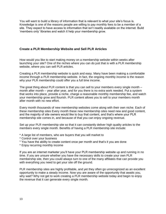You will want to build a library of information that is relevant to what your site's focus is. Knowledge is one of the reasons people are willing to pay monthly fees to be a member of a site. They expect to have access to information that isn't readily available on the internet. Build 'members only' libraries and watch it help your membership grow.

## <span id="page-12-0"></span>**Create a PLR Membership Website and Sell PLR Articles**

How would you like to start making money on a membership website within weeks after launching your site? One of the niches where you can do just that is with a PLR membership website, where you can sell PLR articles.

Creating a PLR membership website is quick and easy. Many have been making a comfortable income through a PLR membership website. In fact, the ongoing monthly income is the reason why your PLR membership could offer you a full time income.

The great thing about PLR content is that you can sell to your members every single month – month after month – year after year, and for you there is no extra work needed. Put a system that works into place, provide a niche, charge a reasonable monthly membership fee, and watch your membership grow and flourish. PLR content allows you to sell to your members month after month with no new effort.

Every month thousands of new membership websites come along with their own niche. Each of these membership sites Every month these new membership sites need new and good content, and the majority of site owners would like to buy that content, and that's where your PLR membership site comes in, and because of that you can enjoy ongoing revenue.

Set up your PLR membership site so that it can constantly deliver high quality articles to the members every single month. Benefits of having a PLR membership site include:

- \* A large list of members, who are buyers that you will market to
- \* Control over your business
- \* You have the ability to create content once per month and that's it you are done
- \* Enjoy recurring monthly income

If you are an internet marketer you'll have your PLR membership website up and running in no time. If you are unsure whether you have the necessary skills to create your own PLR membership site, then you could always turn to one of the many affiliates that can provide you with everything you need to get your site off the ground.

PLR membership sites are highly profitable, and yet they often go unrecognized as an excellent opportunity to make a steady income. Now you are aware of the opportunity that awaits you, why wait? Why not get to work creating a PLR membership website today and begin to enjoy the revenue that it can generate every single month.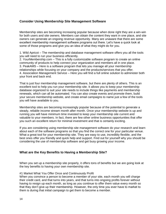## <span id="page-13-0"></span>**Consider Using Membership Site Management Software**

Membership sites are becoming increasing popular because when done right they are a win-win for both users and site owners. Members can obtain the content they want in one place, and site owners can generate an ongoing revenue opportunity. Many are unaware that there are some excellent membership management software programs out there. Let's have a quick look at some of those programs and give you an idea of what they might do for you.

1. Wild Apricot – The membership and database management software offers you all the tools you will need to run your business efficiently.

2. YourMembership.com – This is a fully customizable software program to create an online community of products to help connect your organization and members all in one place. 3. PeakAMS – Here is a software program that lets you manage all your membership relationships while focusing on your company and the products/services that you offer. 4. Association Management Service – Here you will find a full online solution to administer both your front and back end.

That is just four membership management software, but there are plenty of others. This is an excellent tool to help you run your membership site. It allows you to keep your membership database organized to suit your site needs to include things like payments and membership renewals, which can all be automated. You can also create events and promote them, build your secure membership website, and create email campaigns to name just a few of the tools you will have available to you.

Membership sites are becoming increasingly popular because of the potential to generate a steady, reliable income stream month after month. Once your membership website is up and running you will have minimum time invested to keep your membership site current and valuable to your members. In fact, there are few other online business opportunities that offer you such an excellent return for minimal investment and that is certainly exciting.

If you are considering using membership site management software do your research and learn about each of the software programs so that you find the correct one for your particular venue. What a great tool for your membership site. They are easy to use, incredibly flexible, and the best ones offer you friendly and quick help and support. Find out for yourself why you should be considering the use of membership software and get busy growing your income.

## <span id="page-13-1"></span>**What are the Key Benefits to Having a Membership Site?**

When you set up a membership site properly, it offers tons of benefits but we are going look at the key benefits to having your own membership site.

## #1 Market What You Offer Once and Continuously Profit

When you convince a person to become a member of your site, each month you will charge their credit card, and that turns into years, and that turns into ongoing profits forever without having to resign up each month, as long as you continue to offer them value every month so that they don't give up their membership. However, the only time you ever have to market to them is during that initial campaign to get them to become a member.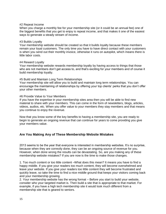#### #2 Repeat Income

When you charge a monthly fee for your membership site (or it could be an annual fee) one of the biggest benefits that you get to enjoy is repeat income, and that makes it one of the easiest ways to generate a steady stream of income.

#### #3 Builds Loyalty

Your membership website should be created so that it builds loyalty because these members remain your loyal customers. The only time you have to have direct contact with your customers is when you send out their monthly invoice, otherwise it runs on autopilot, which means there is little labor costs.

#### #4 Reward Loyalty

Your membership website rewards membership loyalty by having access to things that those who are not members don't get access to, and that's exciting for your members and of course it build membership loyalty.

#### #5 Build and Maintain Long Term Relationships

Your membership site will allow you to build and maintain long term relationships. You can encourage the maintaining of relationships by offering your top clients' perks that you don't offer your other members.

#### #6 Provide Value to Your Members

If you have the expertise in your membership sites area then you will be able to find new material to share with your members. This can come in the form of newsletters, blogs, articles, videos, audios, etc. When you offer value to your members they stay members and that means you continue to enjoy the revenue.

Now that you know some of the key benefits to having a membership site, you are ready to begin to generate an ongoing revenue that can continue for years to come providing you give your members value.

## <span id="page-14-0"></span>**Are You Making Any of These Membership Website Mistakes**

2013 seems to be the year that everyone is interested in membership websites. It's no surprise, because when they are correctly done, they can be an ongoing source of revenue for you. However, when done wrong the results can be devastating. So, are you making any of these membership website mistakes? If you are now is the time to make those changes.

1. Too much content or too little content –What does this mean? It means you have to find a happy middle. If you give your readers too much content, they will become overwhelmed and leave your website. If you give your readers too little content they will become frustrated and quickly leave, so take the time to find a nice middle ground that keeps your visitors coming back and your membership growing.

2. Your membership website has the wrong format – Before you start to build your website, consider who your targeted market is. Then build a site that is appropriate to that market. For example, if you have a high tech membership site it would look much different from a membership site that is geared to seniors.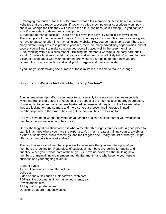3. Charging too much or too little – Determine what a fair membership fee is based on similar websites that are already successful. If you charge too much potential subscribers won't pay it, and if you charge too little they will assume the site is bad because it's cheap. So you can see why it' is important to determine a good price.

4. Inadequate market access – There's an old myth that says 'if you build it they will come.' That's simply not true, because if they can't find you they can't come. This means you are going to have to put some effort into marketing your website. How you do that is up to you. There are many different ways to cross promote your site, there are many advertising opportunities, and of course, you will want to make sure you get yourself placed well in the search engines. 5. Not working with a business model – Building the members website is the easy part, but if you don't have a business model that you are working from you will likely fail. You need to have a plan of action about who your customers are, what you are going to offer, how you are different from the competition and what you'll charge – and that's just a start.

If you find yourself making one or more of these mistakes, it is time to make a change.

## <span id="page-15-0"></span>**Should Your Website Include a Membership Section?**

Bringing membership traffic to your website can certainly increase your revenue especially when that traffic is targeted. For users, half the appeal of the internet is all the free information. However, far too often users become frustrated because what they find in the free isn't what they are looking for, and so more and more surfers are becoming interested in paid memberships where they know they will get the content they are looking for.

So if you have been wondering whether you should dedicate at least part of your website to members the answer is an emphatic yes!

One of the biggest questions asked is what a membership page should include. A good place to start is in an area where you have the expertise. You might create a training course, a webinar, a video of some type, audio recordings, and the list goes one. Really, the list of what you might offer your members is almost endless.

The key to a successful membership site is to make sure that you are offering what your members are looking for. Regardless of subject, all members are looking for quality and quantity. When you provide both of these, you will have no problem either building new members or maintaining old members month after month, and who become your repeat business and your ongoing revenue.

Content Types Types of content you can offer include: Daily tips Video or audio files such as interviews or webinars PDF training documents, informative documents, etc. Downloadable files A blog that is updated often Questions that are frequently asked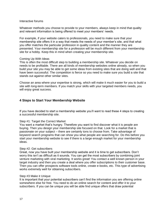#### Interactive forums

Whatever methods you choose to provide to your members, always keep in mind that quality and relevant information is being offered to meet your members' needs.

For example, if your website caters to professionals, you need to make sure that your membership site offers it in a way that meets the needs of your member's site, and that what you offer matches the particular profession in quality content and the manner they are presented. Your membership site for a profession will be much different from your membership site for a hobby. Keep this in mind when creating your membership site.

#### Coming Up With Ideas

This is often the most difficult step to building a membership site. Whatever you decide on needs to be profitable. There are all kinds of membership websites online already, so when you build your site you may be able to get some ideas from existing sites that are doing well and that have been successful. The competition is fierce so you need to make sure you build a site that stands out against other similar sites.

Choose an area where your expertise is strong, which will make it much easier for you to build a site with long-term members. If you match your skills with your targeted members needs, you will enjoy great success.

## <span id="page-16-0"></span>**4 Steps to Start Your Membership Website**

If you have decided to start a membership website you'll want to read these 4 steps to creating a successful membership site.

#### Step #1: Target the Correct Market

You want a market that's hungry. Therefore you want to find discover what it is people are buying. Then you design your membership site focused on that. Look for a market that is passionate on your subject – there are certainly tons to choose from. Take advantage of keyword search programs that can show you what people are searching for. Do this before you start your membership website to see if there is a large enough market for your membership ideas.

#### Step #2: Get subscribers

Great, now you have built your membership website and it is time to get subscribers. Don't worry this isn't as difficult as it sounds. You can get the most subscribers by combining joint venture marketing with viral marketing. It works great! You contact a well known person in your target industry and then you create a deal where you offer subscriptions to their customer base. Then you can offer prospects software tools online, create e-books, etc. This type of advertising works extremely well for obtaining subscribers.

#### Step #3 Make it Unique

It is important that your potential subscribers can't find the information you are offering online somewhere else for free. You need to do an online search for content and offer it to your subscribers. If you can be unique you will be able find unique offers that draw potential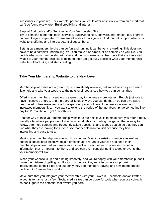subscribers to your site. For example, perhaps you could offer an interview from an expert that can't be found elsewhere. Build credibility and interest.

Step #4 Add tools and/or Services to Your Membership Site

Try to combine numerous tools, services, audio/video files, software, information, etc. There is no need to get complicated. There are all kinds of tools you can find that will support what your website is offering and interest potential subscribers.

Setting up a membership site can be fun and running it can be very rewarding. This does not have to be a complex undertaking. You can make it as simple or as complex as you like. You decide what your membership will offer and then you seek out subscribers that are interested in what it is your membership site is going to offer. So get busy deciding what your membership website will look like, and start creating.

## <span id="page-17-0"></span>**Take Your Membership Website to the Next Level**

Membership websites are a great way to earn steady revenue, but sometimes they can use a little help and take your website to the next level. Let us see how you can do just that.

Offering your members incentives is a great way to generate more interest. People just love to have incentives offered, and there are all kinds of ways you can do that. You can give away discounted or free memberships for a specified period of time. It generates interest and increases memberships. If you want to extend the period of the membership, do something like pay for 11 months and get 1 month free.

Another way to take your membership website to the next level is to make sure you offer a really friendly site, where people want to be. You can do this by building navigation that is easy to follow, offer help screens and frequently asked questions, and a good search so that they can find what they are looking for. Offer a site that people want to visit because they find it interesting and easy to use.

Making your membership website worth coming to. Give your existing members as well as potential subscribers incentive to join or continue to return to your site and keep their memberships active. Let your members connect with each other on open forums, offer information that is important to them, and you can even consider putting together events that your members will like.

When your website is up and running smoothly, and you're happy with your membership, don't make the mistake of getting lax. It's a common practice, website owners stop making improvements to their sites and suddenly they see members leaving and new memberships decline. Don't make this mistake.

Make sure that you integrate your membership with your LinkedIn, Facebook, and/or Twitter accounts to name just a few. Social media sites can be powerful tools when you use correctly so don't ignore the potential that awaits you here.